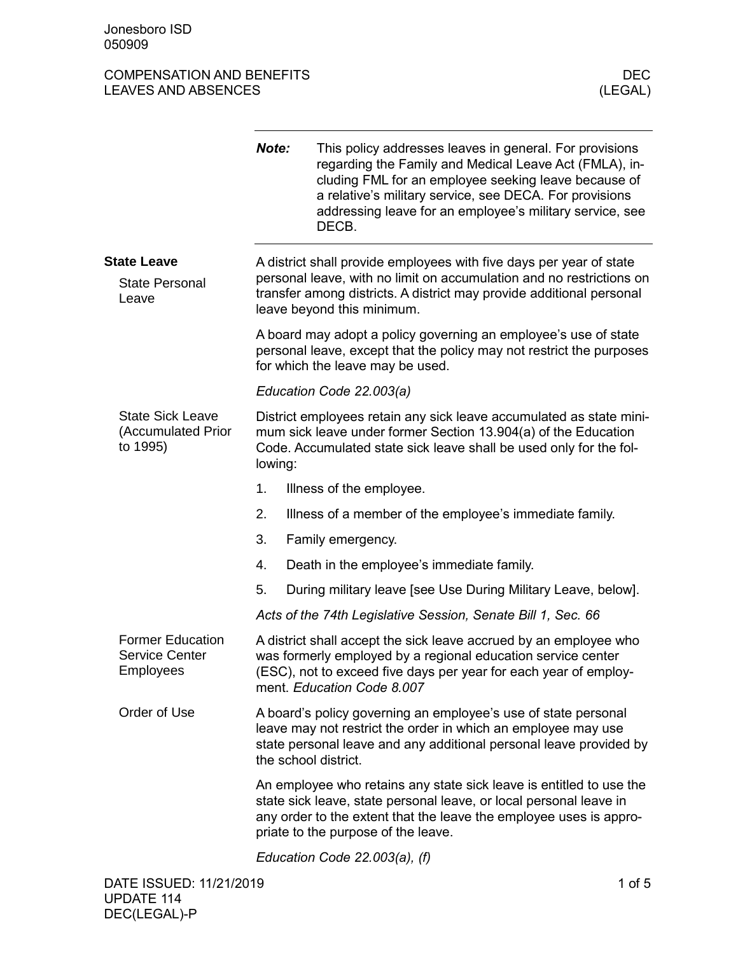## COMPENSATION AND BENEFITS DEC LEAVES AND ABSENCES

|                                                                      | Note:                                                                                                                                                                                                                                                  | This policy addresses leaves in general. For provisions<br>regarding the Family and Medical Leave Act (FMLA), in-<br>cluding FML for an employee seeking leave because of<br>a relative's military service, see DECA. For provisions<br>addressing leave for an employee's military service, see<br>DECB. |  |  |  |  |
|----------------------------------------------------------------------|--------------------------------------------------------------------------------------------------------------------------------------------------------------------------------------------------------------------------------------------------------|-----------------------------------------------------------------------------------------------------------------------------------------------------------------------------------------------------------------------------------------------------------------------------------------------------------|--|--|--|--|
| <b>State Leave</b>                                                   |                                                                                                                                                                                                                                                        | A district shall provide employees with five days per year of state                                                                                                                                                                                                                                       |  |  |  |  |
| <b>State Personal</b><br>Leave                                       | personal leave, with no limit on accumulation and no restrictions on<br>transfer among districts. A district may provide additional personal<br>leave beyond this minimum.                                                                             |                                                                                                                                                                                                                                                                                                           |  |  |  |  |
|                                                                      | A board may adopt a policy governing an employee's use of state<br>personal leave, except that the policy may not restrict the purposes<br>for which the leave may be used.                                                                            |                                                                                                                                                                                                                                                                                                           |  |  |  |  |
|                                                                      |                                                                                                                                                                                                                                                        | Education Code 22.003(a)                                                                                                                                                                                                                                                                                  |  |  |  |  |
| <b>State Sick Leave</b><br>(Accumulated Prior<br>to 1995)            | lowing:                                                                                                                                                                                                                                                | District employees retain any sick leave accumulated as state mini-<br>mum sick leave under former Section 13.904(a) of the Education<br>Code. Accumulated state sick leave shall be used only for the fol-                                                                                               |  |  |  |  |
|                                                                      | 1.                                                                                                                                                                                                                                                     | Illness of the employee.                                                                                                                                                                                                                                                                                  |  |  |  |  |
|                                                                      | 2.                                                                                                                                                                                                                                                     | Illness of a member of the employee's immediate family.                                                                                                                                                                                                                                                   |  |  |  |  |
|                                                                      | 3.                                                                                                                                                                                                                                                     | Family emergency.                                                                                                                                                                                                                                                                                         |  |  |  |  |
|                                                                      | 4.                                                                                                                                                                                                                                                     | Death in the employee's immediate family.                                                                                                                                                                                                                                                                 |  |  |  |  |
|                                                                      | 5.                                                                                                                                                                                                                                                     | During military leave [see Use During Military Leave, below].                                                                                                                                                                                                                                             |  |  |  |  |
|                                                                      |                                                                                                                                                                                                                                                        | Acts of the 74th Legislative Session, Senate Bill 1, Sec. 66                                                                                                                                                                                                                                              |  |  |  |  |
| <b>Former Education</b><br><b>Service Center</b><br><b>Employees</b> |                                                                                                                                                                                                                                                        | A district shall accept the sick leave accrued by an employee who<br>was formerly employed by a regional education service center<br>(ESC), not to exceed five days per year for each year of employ-<br>ment. Education Code 8.007                                                                       |  |  |  |  |
| Order of Use                                                         |                                                                                                                                                                                                                                                        | A board's policy governing an employee's use of state personal<br>leave may not restrict the order in which an employee may use<br>state personal leave and any additional personal leave provided by<br>the school district.                                                                             |  |  |  |  |
|                                                                      | An employee who retains any state sick leave is entitled to use the<br>state sick leave, state personal leave, or local personal leave in<br>any order to the extent that the leave the employee uses is appro-<br>priate to the purpose of the leave. |                                                                                                                                                                                                                                                                                                           |  |  |  |  |
|                                                                      |                                                                                                                                                                                                                                                        | Education Code 22.003(a), (f)                                                                                                                                                                                                                                                                             |  |  |  |  |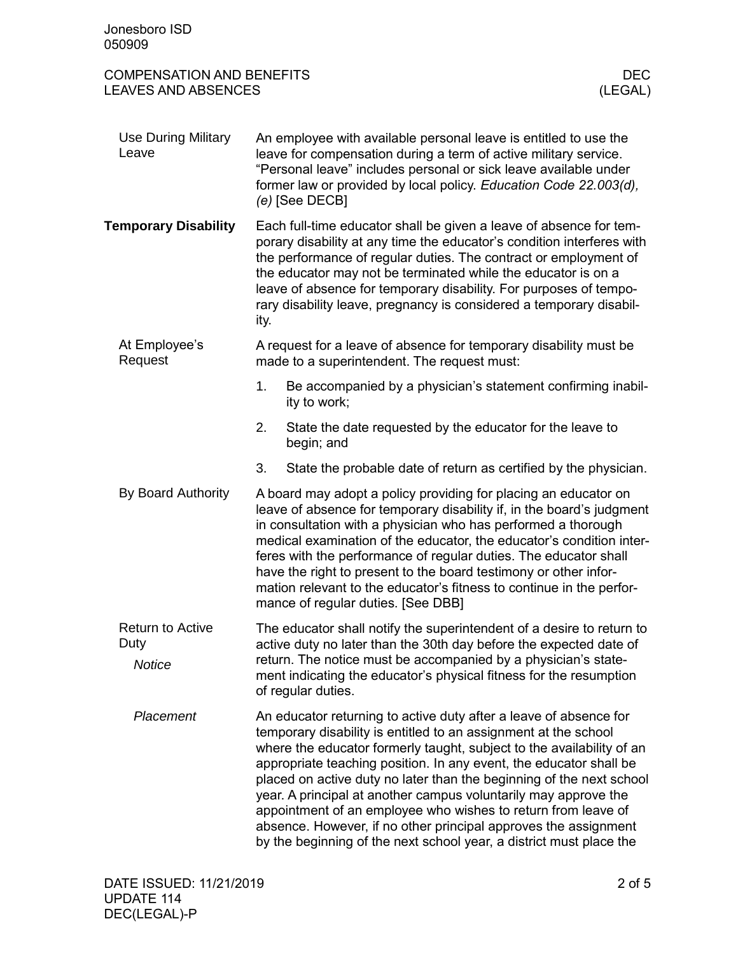| Jonesboro ISD<br>050909                                        |                                                                                                                                                                                                                                                                                                                                                                                                                                                                                                                                                                                                                                           |            |  |  |
|----------------------------------------------------------------|-------------------------------------------------------------------------------------------------------------------------------------------------------------------------------------------------------------------------------------------------------------------------------------------------------------------------------------------------------------------------------------------------------------------------------------------------------------------------------------------------------------------------------------------------------------------------------------------------------------------------------------------|------------|--|--|
| <b>COMPENSATION AND BENEFITS</b><br><b>LEAVES AND ABSENCES</b> | (LEGAL)                                                                                                                                                                                                                                                                                                                                                                                                                                                                                                                                                                                                                                   | <b>DEC</b> |  |  |
| <b>Use During Military</b><br>Leave                            | An employee with available personal leave is entitled to use the<br>leave for compensation during a term of active military service.<br>"Personal leave" includes personal or sick leave available under<br>former law or provided by local policy. Education Code 22.003(d),<br>$(e)$ [See DECB]                                                                                                                                                                                                                                                                                                                                         |            |  |  |
| <b>Temporary Disability</b>                                    | Each full-time educator shall be given a leave of absence for tem-<br>porary disability at any time the educator's condition interferes with<br>the performance of regular duties. The contract or employment of<br>the educator may not be terminated while the educator is on a<br>leave of absence for temporary disability. For purposes of tempo-<br>rary disability leave, pregnancy is considered a temporary disabil-<br>ity.                                                                                                                                                                                                     |            |  |  |
| At Employee's<br>Request                                       | A request for a leave of absence for temporary disability must be<br>made to a superintendent. The request must:                                                                                                                                                                                                                                                                                                                                                                                                                                                                                                                          |            |  |  |
|                                                                | 1.<br>Be accompanied by a physician's statement confirming inabil-<br>ity to work;                                                                                                                                                                                                                                                                                                                                                                                                                                                                                                                                                        |            |  |  |
|                                                                | 2.<br>State the date requested by the educator for the leave to<br>begin; and                                                                                                                                                                                                                                                                                                                                                                                                                                                                                                                                                             |            |  |  |
|                                                                | 3.<br>State the probable date of return as certified by the physician.                                                                                                                                                                                                                                                                                                                                                                                                                                                                                                                                                                    |            |  |  |
| By Board Authority                                             | A board may adopt a policy providing for placing an educator on<br>leave of absence for temporary disability if, in the board's judgment<br>in consultation with a physician who has performed a thorough<br>medical examination of the educator, the educator's condition inter-<br>feres with the performance of regular duties. The educator shall<br>have the right to present to the board testimony or other infor-<br>mation relevant to the educator's fitness to continue in the perfor-<br>mance of regular duties. [See DBB]                                                                                                   |            |  |  |
| <b>Return to Active</b><br>Duty<br><b>Notice</b>               | The educator shall notify the superintendent of a desire to return to<br>active duty no later than the 30th day before the expected date of<br>return. The notice must be accompanied by a physician's state-<br>ment indicating the educator's physical fitness for the resumption<br>of regular duties.                                                                                                                                                                                                                                                                                                                                 |            |  |  |
| Placement                                                      | An educator returning to active duty after a leave of absence for<br>temporary disability is entitled to an assignment at the school<br>where the educator formerly taught, subject to the availability of an<br>appropriate teaching position. In any event, the educator shall be<br>placed on active duty no later than the beginning of the next school<br>year. A principal at another campus voluntarily may approve the<br>appointment of an employee who wishes to return from leave of<br>absence. However, if no other principal approves the assignment<br>by the beginning of the next school year, a district must place the |            |  |  |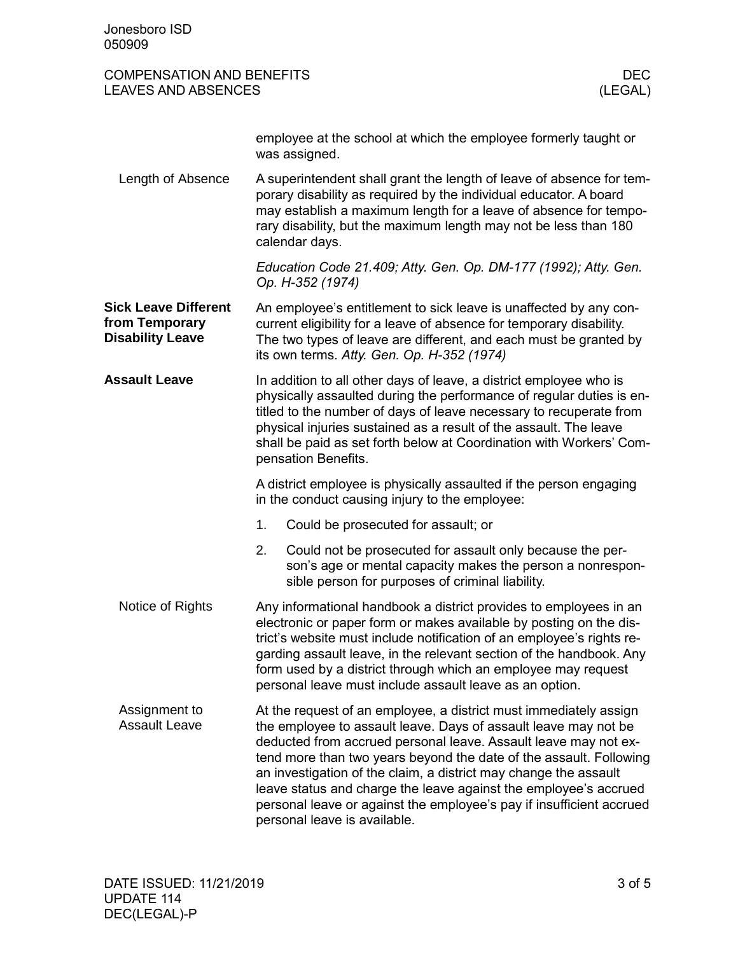| <b>COMPENSATION AND BENEFITS</b><br><b>LEAVES AND ABSENCES</b>           |                                                                                                                                                                                                                                                                                                                                                                                                                                                                                                                               |                                                                                                                                                                             | <b>DEC</b><br>(LEGAL) |
|--------------------------------------------------------------------------|-------------------------------------------------------------------------------------------------------------------------------------------------------------------------------------------------------------------------------------------------------------------------------------------------------------------------------------------------------------------------------------------------------------------------------------------------------------------------------------------------------------------------------|-----------------------------------------------------------------------------------------------------------------------------------------------------------------------------|-----------------------|
|                                                                          |                                                                                                                                                                                                                                                                                                                                                                                                                                                                                                                               | employee at the school at which the employee formerly taught or<br>was assigned.                                                                                            |                       |
| Length of Absence                                                        | A superintendent shall grant the length of leave of absence for tem-<br>porary disability as required by the individual educator. A board<br>may establish a maximum length for a leave of absence for tempo-<br>rary disability, but the maximum length may not be less than 180<br>calendar days.                                                                                                                                                                                                                           |                                                                                                                                                                             |                       |
|                                                                          |                                                                                                                                                                                                                                                                                                                                                                                                                                                                                                                               | Education Code 21.409; Atty. Gen. Op. DM-177 (1992); Atty. Gen.<br>Op. H-352 (1974)                                                                                         |                       |
| <b>Sick Leave Different</b><br>from Temporary<br><b>Disability Leave</b> | An employee's entitlement to sick leave is unaffected by any con-<br>current eligibility for a leave of absence for temporary disability.<br>The two types of leave are different, and each must be granted by<br>its own terms. Atty. Gen. Op. H-352 (1974)                                                                                                                                                                                                                                                                  |                                                                                                                                                                             |                       |
| <b>Assault Leave</b>                                                     | In addition to all other days of leave, a district employee who is<br>physically assaulted during the performance of regular duties is en-<br>titled to the number of days of leave necessary to recuperate from<br>physical injuries sustained as a result of the assault. The leave<br>shall be paid as set forth below at Coordination with Workers' Com-<br>pensation Benefits.                                                                                                                                           |                                                                                                                                                                             |                       |
|                                                                          | A district employee is physically assaulted if the person engaging<br>in the conduct causing injury to the employee:                                                                                                                                                                                                                                                                                                                                                                                                          |                                                                                                                                                                             |                       |
|                                                                          | 1.                                                                                                                                                                                                                                                                                                                                                                                                                                                                                                                            | Could be prosecuted for assault; or                                                                                                                                         |                       |
|                                                                          | 2.                                                                                                                                                                                                                                                                                                                                                                                                                                                                                                                            | Could not be prosecuted for assault only because the per-<br>son's age or mental capacity makes the person a nonrespon-<br>sible person for purposes of criminal liability. |                       |
| Notice of Rights                                                         | Any informational handbook a district provides to employees in an<br>electronic or paper form or makes available by posting on the dis-<br>trict's website must include notification of an employee's rights re-<br>garding assault leave, in the relevant section of the handbook. Any<br>form used by a district through which an employee may request<br>personal leave must include assault leave as an option.                                                                                                           |                                                                                                                                                                             |                       |
| Assignment to<br><b>Assault Leave</b>                                    | At the request of an employee, a district must immediately assign<br>the employee to assault leave. Days of assault leave may not be<br>deducted from accrued personal leave. Assault leave may not ex-<br>tend more than two years beyond the date of the assault. Following<br>an investigation of the claim, a district may change the assault<br>leave status and charge the leave against the employee's accrued<br>personal leave or against the employee's pay if insufficient accrued<br>personal leave is available. |                                                                                                                                                                             |                       |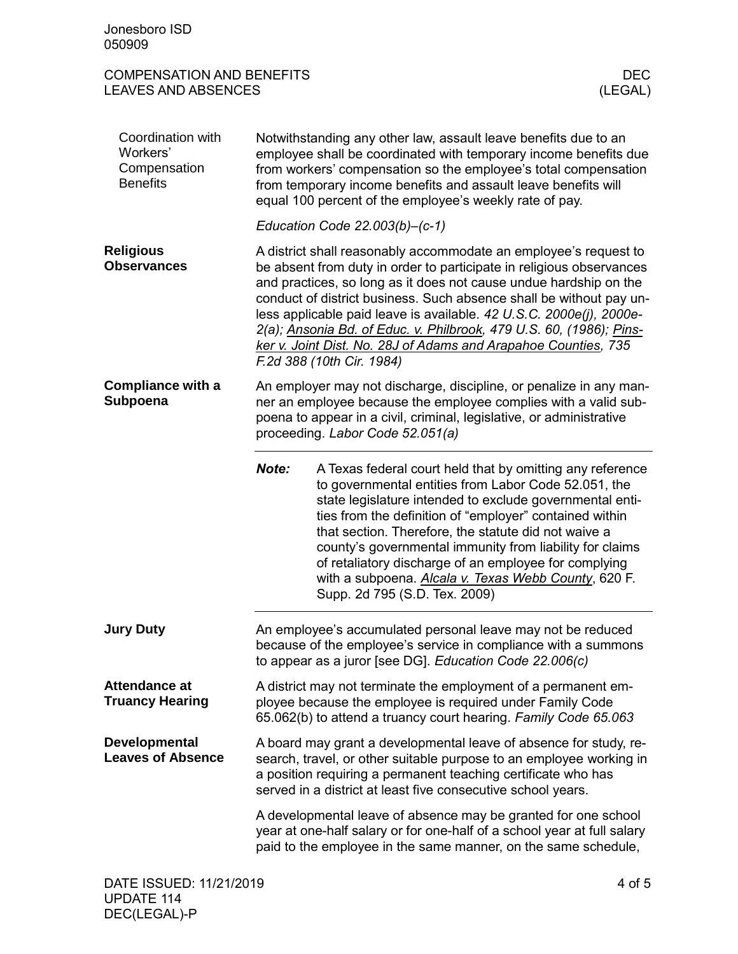| Jonesboro ISD<br>050909                                          |                                                                                                                                                                                                                                                                                                                                                                                                                                                                                                                                   |                                                                                                                                                                                                                                                                                                                                                                                                                                                                                                                |                       |
|------------------------------------------------------------------|-----------------------------------------------------------------------------------------------------------------------------------------------------------------------------------------------------------------------------------------------------------------------------------------------------------------------------------------------------------------------------------------------------------------------------------------------------------------------------------------------------------------------------------|----------------------------------------------------------------------------------------------------------------------------------------------------------------------------------------------------------------------------------------------------------------------------------------------------------------------------------------------------------------------------------------------------------------------------------------------------------------------------------------------------------------|-----------------------|
| <b>COMPENSATION AND BENEFITS</b><br><b>LEAVES AND ABSENCES</b>   |                                                                                                                                                                                                                                                                                                                                                                                                                                                                                                                                   |                                                                                                                                                                                                                                                                                                                                                                                                                                                                                                                | <b>DEC</b><br>(LEGAL) |
| Coordination with<br>Workers'<br>Compensation<br><b>Benefits</b> | Notwithstanding any other law, assault leave benefits due to an<br>employee shall be coordinated with temporary income benefits due<br>from workers' compensation so the employee's total compensation<br>from temporary income benefits and assault leave benefits will<br>equal 100 percent of the employee's weekly rate of pay.                                                                                                                                                                                               |                                                                                                                                                                                                                                                                                                                                                                                                                                                                                                                |                       |
|                                                                  |                                                                                                                                                                                                                                                                                                                                                                                                                                                                                                                                   | Education Code $22.003(b) - (c-1)$                                                                                                                                                                                                                                                                                                                                                                                                                                                                             |                       |
| <b>Religious</b><br><b>Observances</b>                           | A district shall reasonably accommodate an employee's request to<br>be absent from duty in order to participate in religious observances<br>and practices, so long as it does not cause undue hardship on the<br>conduct of district business. Such absence shall be without pay un-<br>less applicable paid leave is available. 42 U.S.C. 2000e(j), 2000e-<br>2(a); Ansonia Bd. of Educ. v. Philbrook, 479 U.S. 60, (1986); Pins-<br>ker v. Joint Dist. No. 28J of Adams and Arapahoe Counties, 735<br>F.2d 388 (10th Cir. 1984) |                                                                                                                                                                                                                                                                                                                                                                                                                                                                                                                |                       |
| <b>Compliance with a</b><br>Subpoena                             | An employer may not discharge, discipline, or penalize in any man-<br>ner an employee because the employee complies with a valid sub-<br>poena to appear in a civil, criminal, legislative, or administrative<br>proceeding. Labor Code 52.051(a)                                                                                                                                                                                                                                                                                 |                                                                                                                                                                                                                                                                                                                                                                                                                                                                                                                |                       |
|                                                                  | Note:                                                                                                                                                                                                                                                                                                                                                                                                                                                                                                                             | A Texas federal court held that by omitting any reference<br>to governmental entities from Labor Code 52.051, the<br>state legislature intended to exclude governmental enti-<br>ties from the definition of "employer" contained within<br>that section. Therefore, the statute did not waive a<br>county's governmental immunity from liability for claims<br>of retaliatory discharge of an employee for complying<br>with a subpoena. Alcala v. Texas Webb County, 620 F.<br>Supp. 2d 795 (S.D. Tex. 2009) |                       |
| <b>Jury Duty</b>                                                 |                                                                                                                                                                                                                                                                                                                                                                                                                                                                                                                                   | An employee's accumulated personal leave may not be reduced<br>because of the employee's service in compliance with a summons<br>to appear as a juror [see DG]. Education Code 22.006(c)                                                                                                                                                                                                                                                                                                                       |                       |
| <b>Attendance at</b><br><b>Truancy Hearing</b>                   | A district may not terminate the employment of a permanent em-<br>ployee because the employee is required under Family Code<br>65.062(b) to attend a truancy court hearing. Family Code 65.063                                                                                                                                                                                                                                                                                                                                    |                                                                                                                                                                                                                                                                                                                                                                                                                                                                                                                |                       |
| <b>Developmental</b><br><b>Leaves of Absence</b>                 |                                                                                                                                                                                                                                                                                                                                                                                                                                                                                                                                   | A board may grant a developmental leave of absence for study, re-<br>search, travel, or other suitable purpose to an employee working in<br>a position requiring a permanent teaching certificate who has<br>served in a district at least five consecutive school years.                                                                                                                                                                                                                                      |                       |
|                                                                  |                                                                                                                                                                                                                                                                                                                                                                                                                                                                                                                                   | A developmental leave of absence may be granted for one school<br>year at one-half salary or for one-half of a school year at full salary<br>paid to the employee in the same manner, on the same schedule,                                                                                                                                                                                                                                                                                                    |                       |